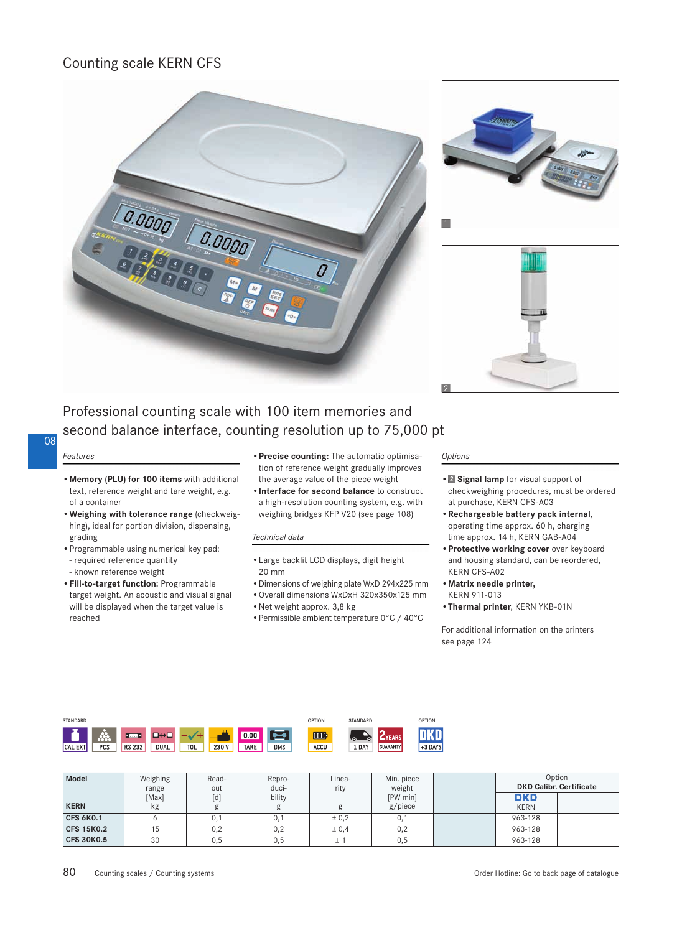## Counting scale KERN CFS







# Professional counting scale with 100 item memories and second balance interface, counting resolution up to 75,000 pt

### 08

*Features*

- **Memory (PLU) for 100 items** with additional text, reference weight and tare weight, e.g. of a container
- **Weighing with tolerance range** (checkweighing), ideal for portion division, dispensing, grading
- Programmable using numerical key pad:
	- required reference quantity
- known reference weight
- **Fill-to-target function:** Programmable target weight. An acoustic and visual signal will be displayed when the target value is reached
- **Precise counting:** The automatic optimisation of reference weight gradually improves the average value of the piece weight
- **Interface for second balance** to construct a high-resolution counting system, e.g. with weighing bridges KFP V20 (see page 108)

#### *Technical data*

- Large backlit LCD displays, digit height 20 mm
- Dimensions of weighing plate WxD 294x225 mm
- Overall dimensions WxDxH 320x350x125 mm
- Net weight approx. 3,8 kg
- Permissible ambient temperature 0°C / 40°C

#### *Options*

- **Signal lamp** for visual support of checkweighing procedures, must be ordered at purchase, KERN CFS-A03
- **Rechargeable battery pack internal**, operating time approx. 60 h, charging time approx. 14 h, KERN GAB-A04
- **Protective working cover** over keyboard and housing standard, can be reordered, KERN CFS-A02
- **Matrix needle printer,** KERN 911-013
- Thermal printer, KERN YKB-01N

For additional information on the printers see page 124



| Model             | Weighing<br>range | Read-<br>out      | Repro-<br>duci- | Linea-<br>rity | Min. piece<br>weight | Option<br><b>DKD Calibr. Certificate</b> |  |
|-------------------|-------------------|-------------------|-----------------|----------------|----------------------|------------------------------------------|--|
|                   | [Max]             | $\lceil d \rceil$ | bility          |                | [PW min]             | <b>DKD</b>                               |  |
| <b>KERN</b>       | kg                |                   |                 |                | g/piece              | <b>KERN</b>                              |  |
| <b>CFS 6K0.1</b>  |                   | 0,1               | 0,1             | $\pm 0.2$      | 0,1                  | 963-128                                  |  |
| <b>CFS 15K0.2</b> | 15                | 0,2               | 0,2             | ± 0,4          | 0,2                  | 963-128                                  |  |
| <b>CFS 30K0.5</b> | 30                | 0,5               | 0.5             |                | 0,5                  | 963-128                                  |  |